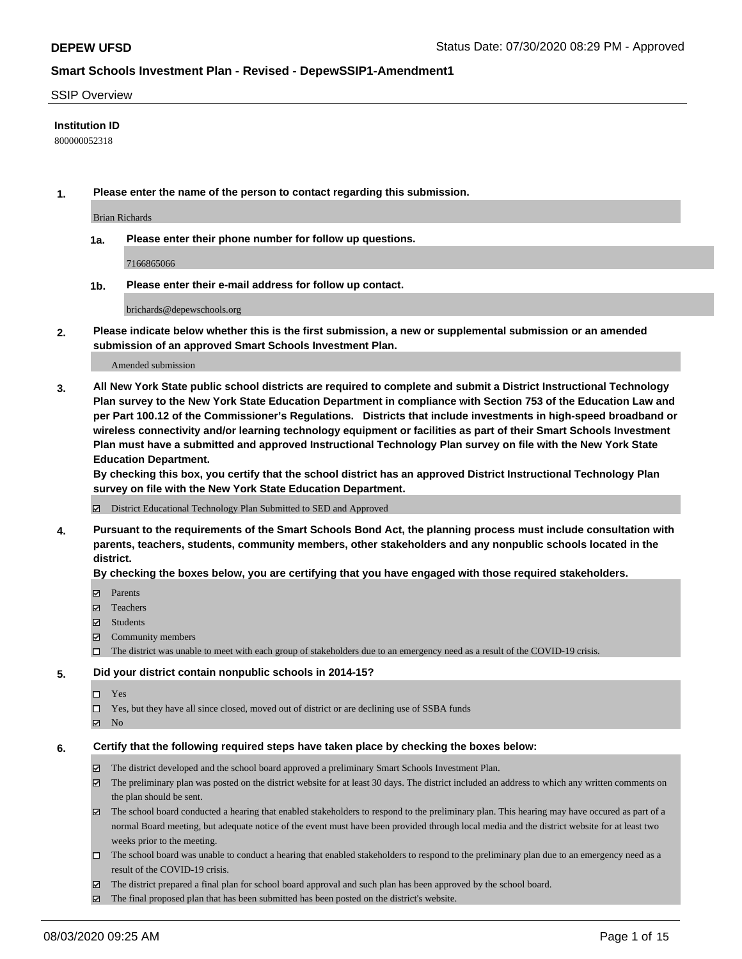### SSIP Overview

## **Institution ID**

800000052318

**1. Please enter the name of the person to contact regarding this submission.**

Brian Richards

**1a. Please enter their phone number for follow up questions.**

7166865066

**1b. Please enter their e-mail address for follow up contact.**

brichards@depewschools.org

**2. Please indicate below whether this is the first submission, a new or supplemental submission or an amended submission of an approved Smart Schools Investment Plan.**

### Amended submission

**3. All New York State public school districts are required to complete and submit a District Instructional Technology Plan survey to the New York State Education Department in compliance with Section 753 of the Education Law and per Part 100.12 of the Commissioner's Regulations. Districts that include investments in high-speed broadband or wireless connectivity and/or learning technology equipment or facilities as part of their Smart Schools Investment Plan must have a submitted and approved Instructional Technology Plan survey on file with the New York State Education Department.** 

**By checking this box, you certify that the school district has an approved District Instructional Technology Plan survey on file with the New York State Education Department.**

District Educational Technology Plan Submitted to SED and Approved

**4. Pursuant to the requirements of the Smart Schools Bond Act, the planning process must include consultation with parents, teachers, students, community members, other stakeholders and any nonpublic schools located in the district.** 

#### **By checking the boxes below, you are certifying that you have engaged with those required stakeholders.**

- **□** Parents
- Teachers
- Students
- $\boxtimes$  Community members
- The district was unable to meet with each group of stakeholders due to an emergency need as a result of the COVID-19 crisis.

### **5. Did your district contain nonpublic schools in 2014-15?**

- $\neg$  Yes
- Yes, but they have all since closed, moved out of district or are declining use of SSBA funds
- **Z** No

#### **6. Certify that the following required steps have taken place by checking the boxes below:**

- The district developed and the school board approved a preliminary Smart Schools Investment Plan.
- $\boxtimes$  The preliminary plan was posted on the district website for at least 30 days. The district included an address to which any written comments on the plan should be sent.
- The school board conducted a hearing that enabled stakeholders to respond to the preliminary plan. This hearing may have occured as part of a normal Board meeting, but adequate notice of the event must have been provided through local media and the district website for at least two weeks prior to the meeting.
- The school board was unable to conduct a hearing that enabled stakeholders to respond to the preliminary plan due to an emergency need as a result of the COVID-19 crisis.
- The district prepared a final plan for school board approval and such plan has been approved by the school board.
- $\boxtimes$  The final proposed plan that has been submitted has been posted on the district's website.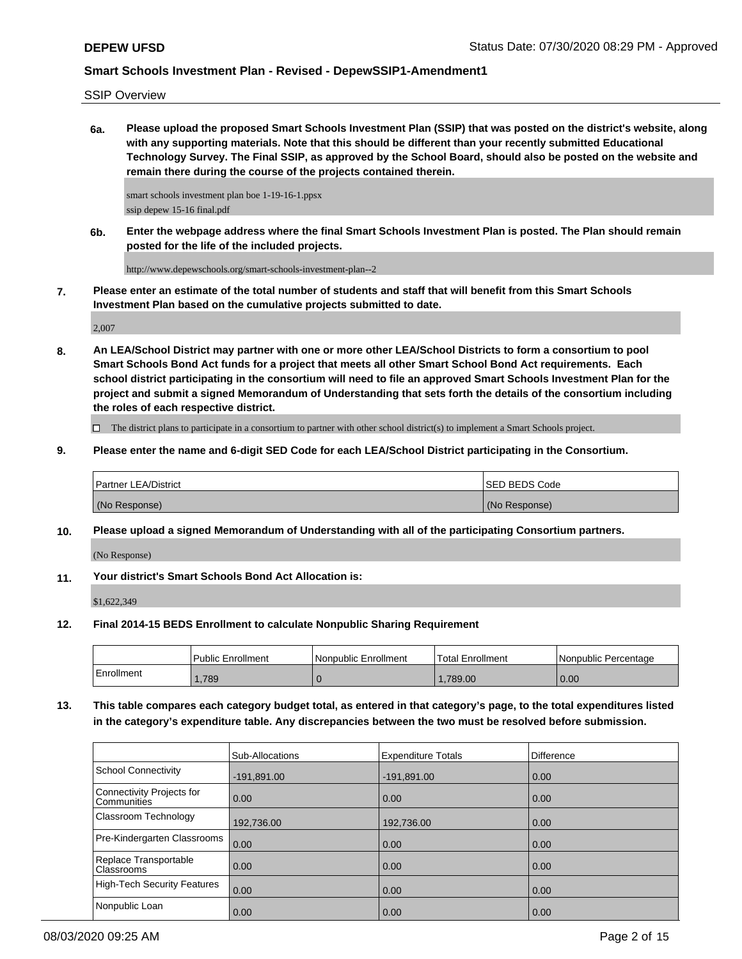SSIP Overview

**6a. Please upload the proposed Smart Schools Investment Plan (SSIP) that was posted on the district's website, along with any supporting materials. Note that this should be different than your recently submitted Educational Technology Survey. The Final SSIP, as approved by the School Board, should also be posted on the website and remain there during the course of the projects contained therein.**

smart schools investment plan boe 1-19-16-1.ppsx ssip depew 15-16 final.pdf

**6b. Enter the webpage address where the final Smart Schools Investment Plan is posted. The Plan should remain posted for the life of the included projects.**

http://www.depewschools.org/smart-schools-investment-plan--2

**7. Please enter an estimate of the total number of students and staff that will benefit from this Smart Schools Investment Plan based on the cumulative projects submitted to date.**

2,007

**8. An LEA/School District may partner with one or more other LEA/School Districts to form a consortium to pool Smart Schools Bond Act funds for a project that meets all other Smart School Bond Act requirements. Each school district participating in the consortium will need to file an approved Smart Schools Investment Plan for the project and submit a signed Memorandum of Understanding that sets forth the details of the consortium including the roles of each respective district.**

 $\Box$  The district plans to participate in a consortium to partner with other school district(s) to implement a Smart Schools project.

**9. Please enter the name and 6-digit SED Code for each LEA/School District participating in the Consortium.**

| <b>Partner LEA/District</b> | <b>ISED BEDS Code</b> |
|-----------------------------|-----------------------|
| (No Response)               | (No Response)         |

**10. Please upload a signed Memorandum of Understanding with all of the participating Consortium partners.**

(No Response)

**11. Your district's Smart Schools Bond Act Allocation is:**

\$1,622,349

**12. Final 2014-15 BEDS Enrollment to calculate Nonpublic Sharing Requirement**

|            | <b>Public Enrollment</b> | l Nonpublic Enrollment | <b>Total Enrollment</b> | l Nonpublic Percentage |
|------------|--------------------------|------------------------|-------------------------|------------------------|
| Enrollment | ,789                     |                        | .789.00                 | 0.00                   |

**13. This table compares each category budget total, as entered in that category's page, to the total expenditures listed in the category's expenditure table. Any discrepancies between the two must be resolved before submission.**

|                                            | <b>Sub-Allocations</b> | <b>Expenditure Totals</b> | <b>Difference</b> |
|--------------------------------------------|------------------------|---------------------------|-------------------|
| School Connectivity                        | $-191,891.00$          | $-191,891.00$             | 0.00              |
| Connectivity Projects for<br>l Communities | $\overline{0.00}$      | 0.00                      | 0.00              |
| Classroom Technology                       | 192,736.00             | 192,736.00                | 0.00              |
| Pre-Kindergarten Classrooms                | 0.00                   | 0.00                      | 0.00              |
| Replace Transportable<br>Classrooms        | $\overline{0.00}$      | 0.00                      | 0.00              |
| High-Tech Security Features                | 0.00                   | 0.00                      | 0.00              |
| Nonpublic Loan                             | 0.00                   | 0.00                      | 0.00              |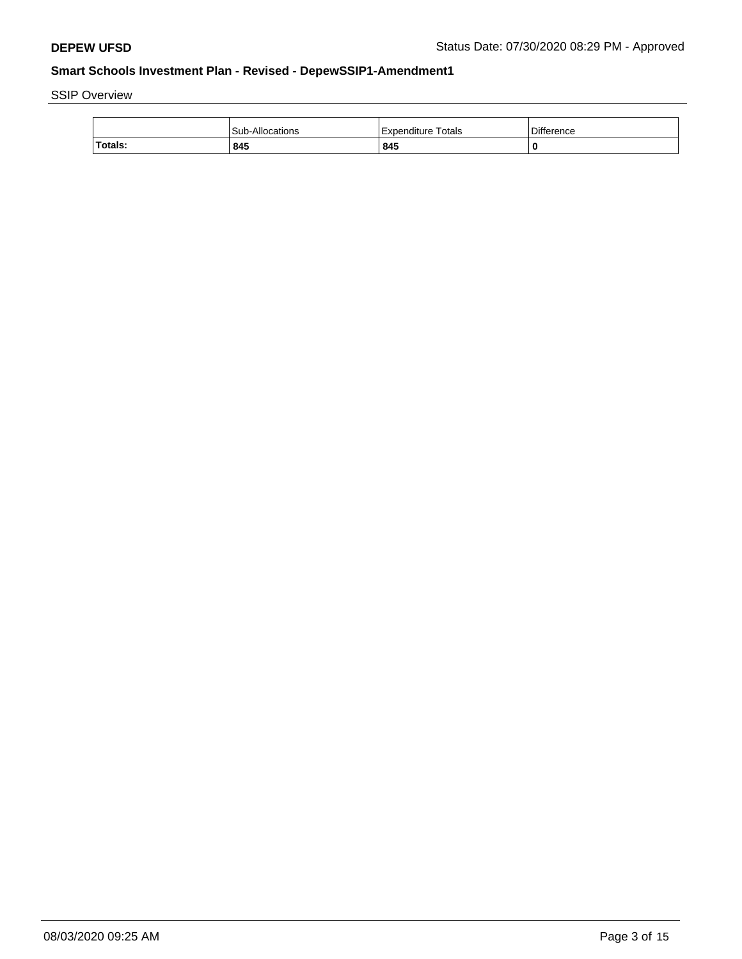SSIP Overview

|         | Sub-<br>-Allocations | Totals<br>Expenditure | <b>Difference</b> |
|---------|----------------------|-----------------------|-------------------|
| Totals: | 845                  | 845                   | O                 |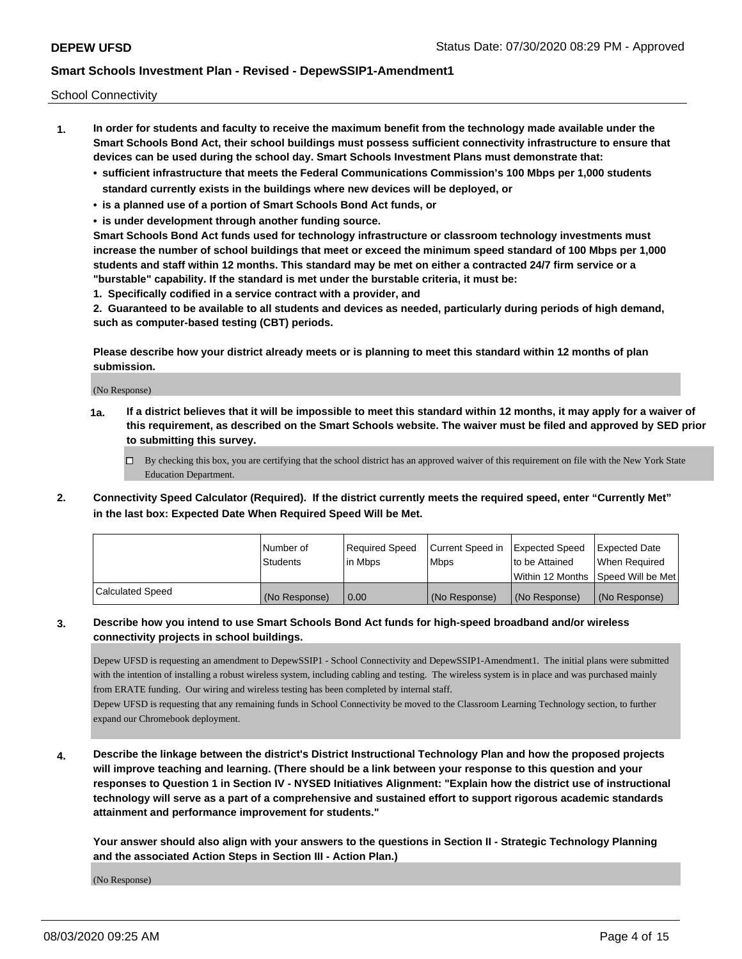School Connectivity

- **1. In order for students and faculty to receive the maximum benefit from the technology made available under the Smart Schools Bond Act, their school buildings must possess sufficient connectivity infrastructure to ensure that devices can be used during the school day. Smart Schools Investment Plans must demonstrate that:**
	- **• sufficient infrastructure that meets the Federal Communications Commission's 100 Mbps per 1,000 students standard currently exists in the buildings where new devices will be deployed, or**
	- **• is a planned use of a portion of Smart Schools Bond Act funds, or**
	- **• is under development through another funding source.**

**Smart Schools Bond Act funds used for technology infrastructure or classroom technology investments must increase the number of school buildings that meet or exceed the minimum speed standard of 100 Mbps per 1,000 students and staff within 12 months. This standard may be met on either a contracted 24/7 firm service or a "burstable" capability. If the standard is met under the burstable criteria, it must be:**

**1. Specifically codified in a service contract with a provider, and**

**2. Guaranteed to be available to all students and devices as needed, particularly during periods of high demand, such as computer-based testing (CBT) periods.**

**Please describe how your district already meets or is planning to meet this standard within 12 months of plan submission.**

(No Response)

**1a. If a district believes that it will be impossible to meet this standard within 12 months, it may apply for a waiver of this requirement, as described on the Smart Schools website. The waiver must be filed and approved by SED prior to submitting this survey.**

 $\Box$  By checking this box, you are certifying that the school district has an approved waiver of this requirement on file with the New York State Education Department.

**2. Connectivity Speed Calculator (Required). If the district currently meets the required speed, enter "Currently Met" in the last box: Expected Date When Required Speed Will be Met.**

|                  | i Number of   | Required Speed | Current Speed in | <b>Expected Speed</b> | <b>Expected Date</b>                 |
|------------------|---------------|----------------|------------------|-----------------------|--------------------------------------|
|                  | Students      | lin Mbps       | <b>Mbps</b>      | Ito be Attained       | When Reauired                        |
|                  |               |                |                  |                       | Within 12 Months   Speed Will be Met |
| Calculated Speed | (No Response) | l 0.00         | (No Response)    | l (No Response)       | (No Response)                        |

## **3. Describe how you intend to use Smart Schools Bond Act funds for high-speed broadband and/or wireless connectivity projects in school buildings.**

Depew UFSD is requesting an amendment to DepewSSIP1 - School Connectivity and DepewSSIP1-Amendment1. The initial plans were submitted with the intention of installing a robust wireless system, including cabling and testing. The wireless system is in place and was purchased mainly from ERATE funding. Our wiring and wireless testing has been completed by internal staff.

Depew UFSD is requesting that any remaining funds in School Connectivity be moved to the Classroom Learning Technology section, to further expand our Chromebook deployment.

**4. Describe the linkage between the district's District Instructional Technology Plan and how the proposed projects will improve teaching and learning. (There should be a link between your response to this question and your responses to Question 1 in Section IV - NYSED Initiatives Alignment: "Explain how the district use of instructional technology will serve as a part of a comprehensive and sustained effort to support rigorous academic standards attainment and performance improvement for students."** 

**Your answer should also align with your answers to the questions in Section II - Strategic Technology Planning and the associated Action Steps in Section III - Action Plan.)**

(No Response)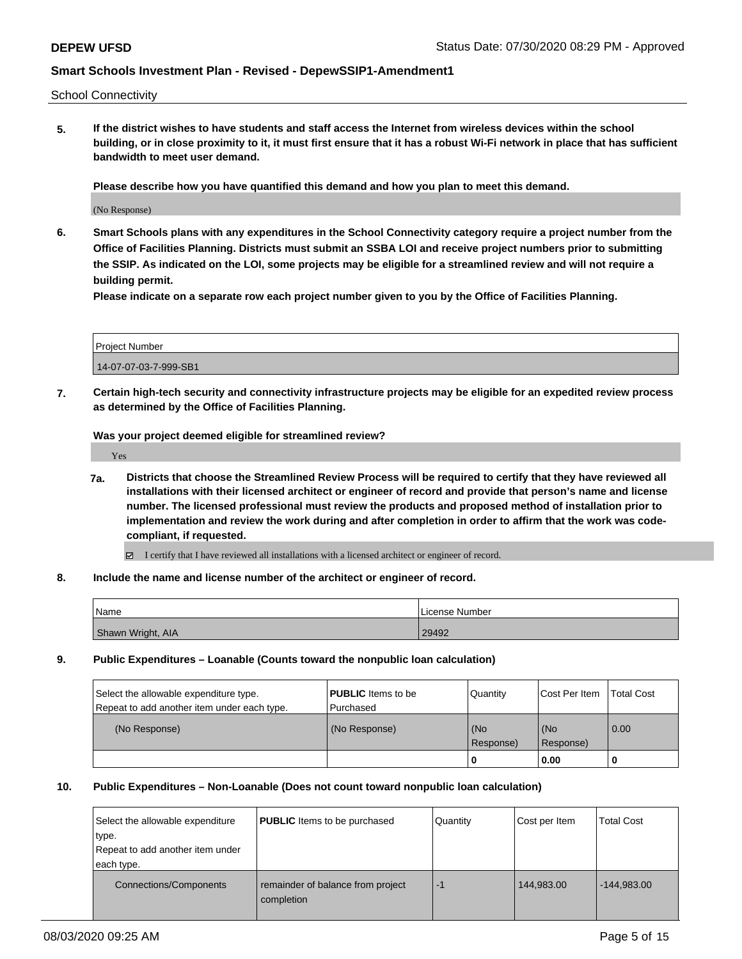School Connectivity

**5. If the district wishes to have students and staff access the Internet from wireless devices within the school building, or in close proximity to it, it must first ensure that it has a robust Wi-Fi network in place that has sufficient bandwidth to meet user demand.**

**Please describe how you have quantified this demand and how you plan to meet this demand.**

(No Response)

**6. Smart Schools plans with any expenditures in the School Connectivity category require a project number from the Office of Facilities Planning. Districts must submit an SSBA LOI and receive project numbers prior to submitting the SSIP. As indicated on the LOI, some projects may be eligible for a streamlined review and will not require a building permit.**

**Please indicate on a separate row each project number given to you by the Office of Facilities Planning.**

| Project Number        |  |
|-----------------------|--|
| 14-07-07-03-7-999-SB1 |  |

**7. Certain high-tech security and connectivity infrastructure projects may be eligible for an expedited review process as determined by the Office of Facilities Planning.**

**Was your project deemed eligible for streamlined review?**

Yes

- **7a. Districts that choose the Streamlined Review Process will be required to certify that they have reviewed all installations with their licensed architect or engineer of record and provide that person's name and license number. The licensed professional must review the products and proposed method of installation prior to implementation and review the work during and after completion in order to affirm that the work was codecompliant, if requested.**
	- I certify that I have reviewed all installations with a licensed architect or engineer of record.
- **8. Include the name and license number of the architect or engineer of record.**

| Name              | License Number |
|-------------------|----------------|
| Shawn Wright, AIA | 29492          |

**9. Public Expenditures – Loanable (Counts toward the nonpublic loan calculation)**

| Select the allowable expenditure type.      | <b>PUBLIC</b> Items to be | Quantity         | Cost Per Item    | <b>Total Cost</b> |
|---------------------------------------------|---------------------------|------------------|------------------|-------------------|
| Repeat to add another item under each type. | Purchased                 |                  |                  |                   |
| (No Response)                               | (No Response)             | (No<br>Response) | (No<br>Response) | 0.00              |
|                                             |                           |                  | 0.00             |                   |

#### **10. Public Expenditures – Non-Loanable (Does not count toward nonpublic loan calculation)**

| Select the allowable expenditure<br>type.<br>Repeat to add another item under<br>each type. | <b>PUBLIC</b> Items to be purchased             | Quantity | Cost per Item | <b>Total Cost</b> |
|---------------------------------------------------------------------------------------------|-------------------------------------------------|----------|---------------|-------------------|
| <b>Connections/Components</b>                                                               | remainder of balance from project<br>completion | $-1$     | 144,983.00    | $-144,983.00$     |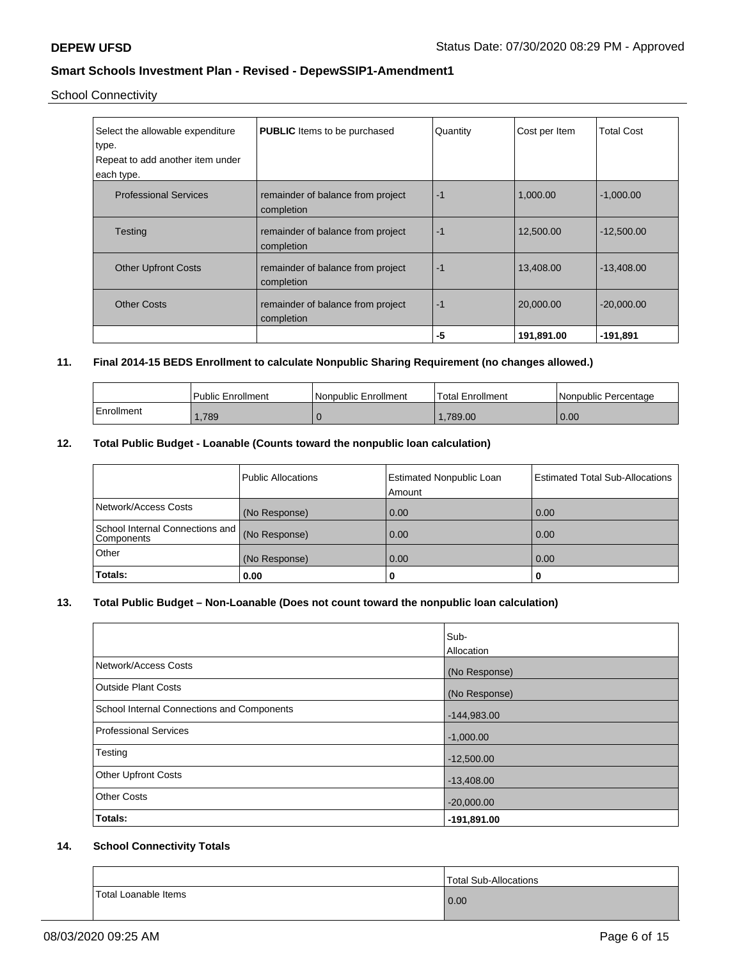School Connectivity

| Select the allowable expenditure<br>type.<br>Repeat to add another item under<br>each type. | <b>PUBLIC</b> Items to be purchased             | Quantity | Cost per Item | <b>Total Cost</b> |
|---------------------------------------------------------------------------------------------|-------------------------------------------------|----------|---------------|-------------------|
| <b>Professional Services</b>                                                                | remainder of balance from project<br>completion | $-1$     | 1,000.00      | $-1,000.00$       |
| <b>Testing</b>                                                                              | remainder of balance from project<br>completion | $-1$     | 12,500.00     | $-12,500.00$      |
| <b>Other Upfront Costs</b>                                                                  | remainder of balance from project<br>completion | $-1$     | 13,408.00     | $-13.408.00$      |
| <b>Other Costs</b>                                                                          | remainder of balance from project<br>completion | $-1$     | 20,000.00     | $-20,000.00$      |
|                                                                                             |                                                 | -5       | 191,891.00    | $-191,891$        |

## **11. Final 2014-15 BEDS Enrollment to calculate Nonpublic Sharing Requirement (no changes allowed.)**

|            | Public Enrollment | Nonpublic Enrollment | Total Enrollment | l Nonpublic Percentage |
|------------|-------------------|----------------------|------------------|------------------------|
| Enrollment | ,789              |                      | .789.00          | 0.00                   |

## **12. Total Public Budget - Loanable (Counts toward the nonpublic loan calculation)**

| Components<br>Other<br>Totals:  | (No Response)      | 0.00                                      | 0.00                                   |
|---------------------------------|--------------------|-------------------------------------------|----------------------------------------|
| School Internal Connections and | (No Response)      | 0.00                                      | 0.00                                   |
| Network/Access Costs            | (No Response)      | 0.00                                      | 0.00                                   |
|                                 | Public Allocations | <b>Estimated Nonpublic Loan</b><br>Amount | <b>Estimated Total Sub-Allocations</b> |

## **13. Total Public Budget – Non-Loanable (Does not count toward the nonpublic loan calculation)**

|                                                   | lSub-<br>Allocation |
|---------------------------------------------------|---------------------|
| Network/Access Costs                              | (No Response)       |
| <b>Outside Plant Costs</b>                        | (No Response)       |
| <b>School Internal Connections and Components</b> | $-144,983.00$       |
| Professional Services                             | $-1,000.00$         |
| Testing                                           | $-12,500.00$        |
| <b>Other Upfront Costs</b>                        | $-13,408.00$        |
| <b>Other Costs</b>                                | $-20,000.00$        |
| <b>Totals:</b>                                    | $-191,891.00$       |

## **14. School Connectivity Totals**

|                      | Total Sub-Allocations |
|----------------------|-----------------------|
| Total Loanable Items | 0.00                  |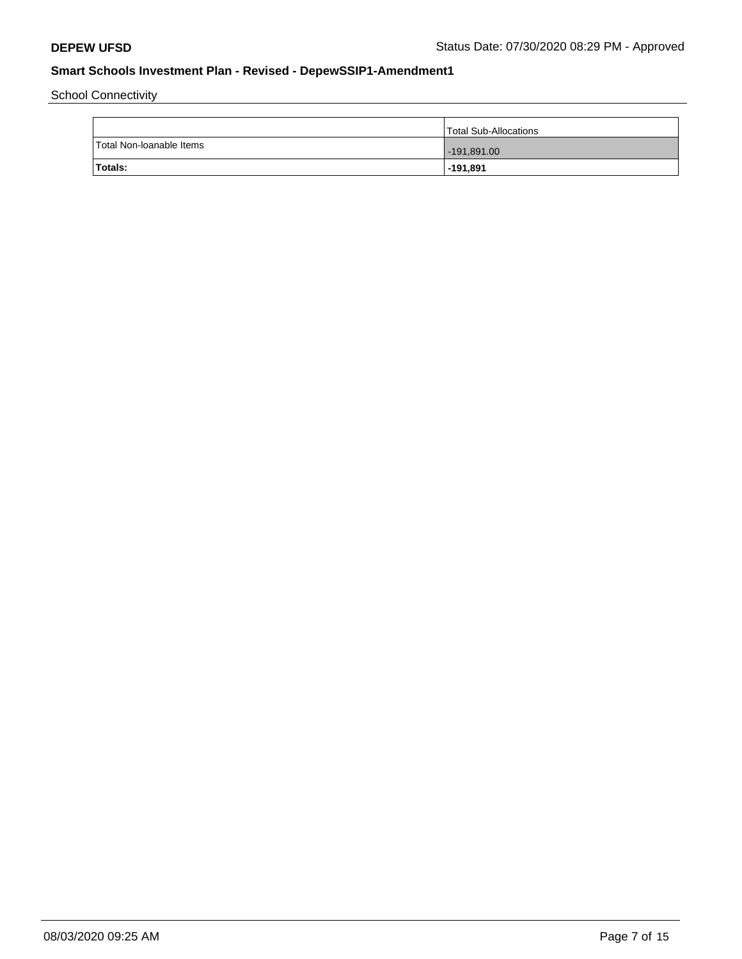School Connectivity

|                          | Total Sub-Allocations |
|--------------------------|-----------------------|
| Total Non-Ioanable Items | $-191,891.00$         |
| Totals:                  | $-191,891$            |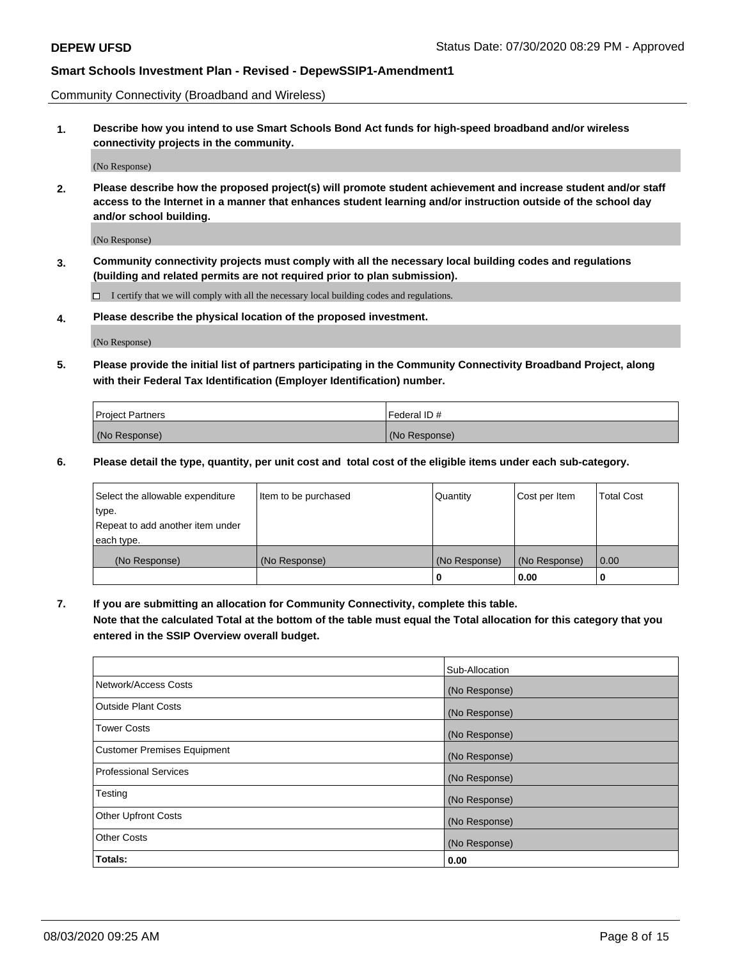Community Connectivity (Broadband and Wireless)

**1. Describe how you intend to use Smart Schools Bond Act funds for high-speed broadband and/or wireless connectivity projects in the community.**

(No Response)

**2. Please describe how the proposed project(s) will promote student achievement and increase student and/or staff access to the Internet in a manner that enhances student learning and/or instruction outside of the school day and/or school building.**

(No Response)

**3. Community connectivity projects must comply with all the necessary local building codes and regulations (building and related permits are not required prior to plan submission).**

 $\Box$  I certify that we will comply with all the necessary local building codes and regulations.

**4. Please describe the physical location of the proposed investment.**

(No Response)

**5. Please provide the initial list of partners participating in the Community Connectivity Broadband Project, along with their Federal Tax Identification (Employer Identification) number.**

| <b>Project Partners</b> | Federal ID#   |
|-------------------------|---------------|
| (No Response)           | (No Response) |

**6. Please detail the type, quantity, per unit cost and total cost of the eligible items under each sub-category.**

| Select the allowable expenditure | Item to be purchased | Quantity      | Cost per Item | <b>Total Cost</b> |
|----------------------------------|----------------------|---------------|---------------|-------------------|
| type.                            |                      |               |               |                   |
| Repeat to add another item under |                      |               |               |                   |
| each type.                       |                      |               |               |                   |
| (No Response)                    | (No Response)        | (No Response) | (No Response) | 0.00              |
|                                  |                      | o             | 0.00          |                   |

**7. If you are submitting an allocation for Community Connectivity, complete this table.**

**Note that the calculated Total at the bottom of the table must equal the Total allocation for this category that you entered in the SSIP Overview overall budget.**

|                                    | Sub-Allocation |
|------------------------------------|----------------|
| Network/Access Costs               | (No Response)  |
| Outside Plant Costs                | (No Response)  |
| <b>Tower Costs</b>                 | (No Response)  |
| <b>Customer Premises Equipment</b> | (No Response)  |
| <b>Professional Services</b>       | (No Response)  |
| Testing                            | (No Response)  |
| <b>Other Upfront Costs</b>         | (No Response)  |
| <b>Other Costs</b>                 | (No Response)  |
| Totals:                            | 0.00           |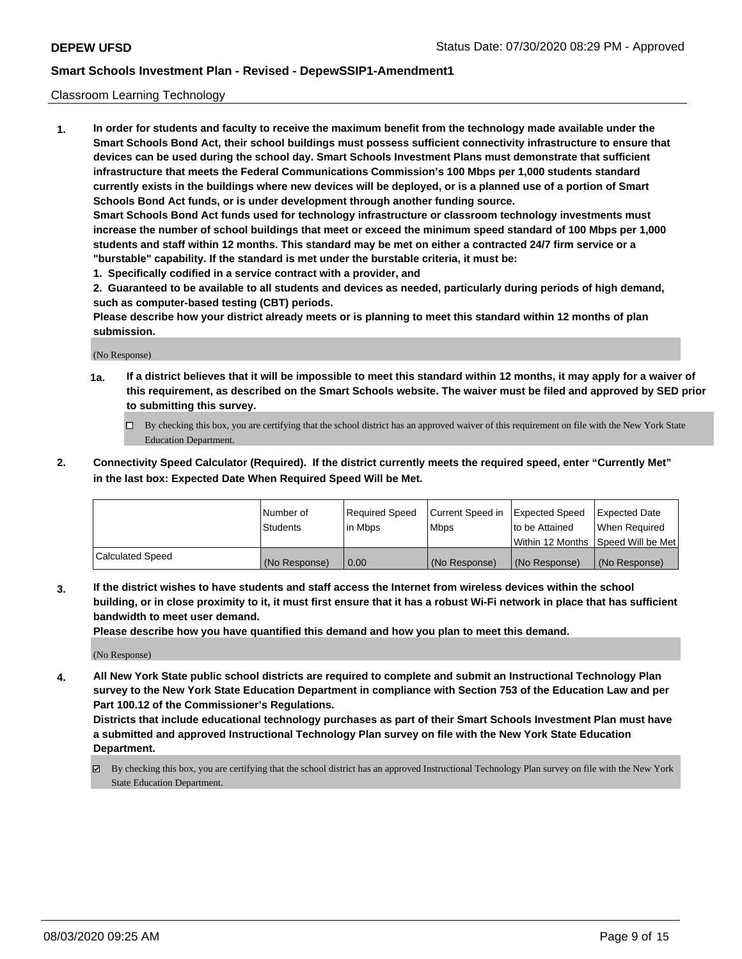## Classroom Learning Technology

**1. In order for students and faculty to receive the maximum benefit from the technology made available under the Smart Schools Bond Act, their school buildings must possess sufficient connectivity infrastructure to ensure that devices can be used during the school day. Smart Schools Investment Plans must demonstrate that sufficient infrastructure that meets the Federal Communications Commission's 100 Mbps per 1,000 students standard currently exists in the buildings where new devices will be deployed, or is a planned use of a portion of Smart Schools Bond Act funds, or is under development through another funding source. Smart Schools Bond Act funds used for technology infrastructure or classroom technology investments must increase the number of school buildings that meet or exceed the minimum speed standard of 100 Mbps per 1,000 students and staff within 12 months. This standard may be met on either a contracted 24/7 firm service or a "burstable" capability. If the standard is met under the burstable criteria, it must be:**

**1. Specifically codified in a service contract with a provider, and**

**2. Guaranteed to be available to all students and devices as needed, particularly during periods of high demand, such as computer-based testing (CBT) periods.**

**Please describe how your district already meets or is planning to meet this standard within 12 months of plan submission.**

(No Response)

- **1a. If a district believes that it will be impossible to meet this standard within 12 months, it may apply for a waiver of this requirement, as described on the Smart Schools website. The waiver must be filed and approved by SED prior to submitting this survey.**
	- By checking this box, you are certifying that the school district has an approved waiver of this requirement on file with the New York State Education Department.
- **2. Connectivity Speed Calculator (Required). If the district currently meets the required speed, enter "Currently Met" in the last box: Expected Date When Required Speed Will be Met.**

|                  | l Number of     | Required Speed | Current Speed in | <b>Expected Speed</b> | <b>Expected Date</b>                |
|------------------|-----------------|----------------|------------------|-----------------------|-------------------------------------|
|                  | <b>Students</b> | l in Mbps      | l Mbps           | to be Attained        | When Required                       |
|                  |                 |                |                  |                       | Within 12 Months  Speed Will be Met |
| Calculated Speed | (No Response)   | 0.00           | (No Response)    | l (No Response)       | (No Response)                       |

**3. If the district wishes to have students and staff access the Internet from wireless devices within the school building, or in close proximity to it, it must first ensure that it has a robust Wi-Fi network in place that has sufficient bandwidth to meet user demand.**

**Please describe how you have quantified this demand and how you plan to meet this demand.**

(No Response)

**4. All New York State public school districts are required to complete and submit an Instructional Technology Plan survey to the New York State Education Department in compliance with Section 753 of the Education Law and per Part 100.12 of the Commissioner's Regulations.**

**Districts that include educational technology purchases as part of their Smart Schools Investment Plan must have a submitted and approved Instructional Technology Plan survey on file with the New York State Education Department.**

By checking this box, you are certifying that the school district has an approved Instructional Technology Plan survey on file with the New York State Education Department.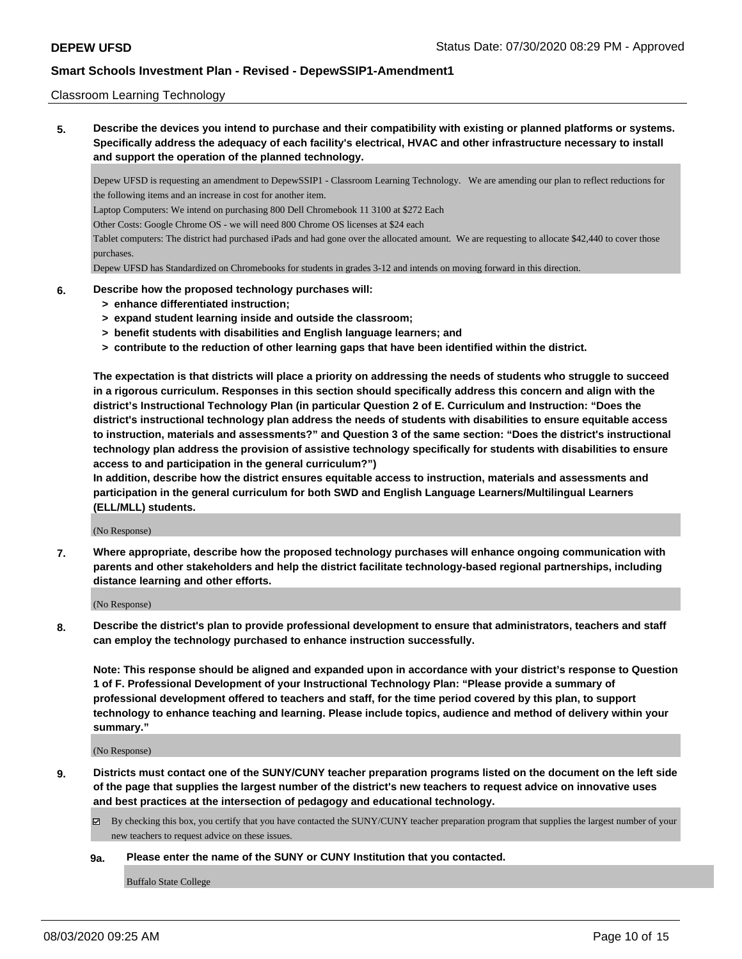### Classroom Learning Technology

**5. Describe the devices you intend to purchase and their compatibility with existing or planned platforms or systems. Specifically address the adequacy of each facility's electrical, HVAC and other infrastructure necessary to install and support the operation of the planned technology.**

Depew UFSD is requesting an amendment to DepewSSIP1 - Classroom Learning Technology. We are amending our plan to reflect reductions for the following items and an increase in cost for another item.

Laptop Computers: We intend on purchasing 800 Dell Chromebook 11 3100 at \$272 Each

Other Costs: Google Chrome OS - we will need 800 Chrome OS licenses at \$24 each

Tablet computers: The district had purchased iPads and had gone over the allocated amount. We are requesting to allocate \$42,440 to cover those purchases.

Depew UFSD has Standardized on Chromebooks for students in grades 3-12 and intends on moving forward in this direction.

### **6. Describe how the proposed technology purchases will:**

- **> enhance differentiated instruction;**
- **> expand student learning inside and outside the classroom;**
- **> benefit students with disabilities and English language learners; and**
- **> contribute to the reduction of other learning gaps that have been identified within the district.**

**The expectation is that districts will place a priority on addressing the needs of students who struggle to succeed in a rigorous curriculum. Responses in this section should specifically address this concern and align with the district's Instructional Technology Plan (in particular Question 2 of E. Curriculum and Instruction: "Does the district's instructional technology plan address the needs of students with disabilities to ensure equitable access to instruction, materials and assessments?" and Question 3 of the same section: "Does the district's instructional technology plan address the provision of assistive technology specifically for students with disabilities to ensure access to and participation in the general curriculum?")**

**In addition, describe how the district ensures equitable access to instruction, materials and assessments and participation in the general curriculum for both SWD and English Language Learners/Multilingual Learners (ELL/MLL) students.**

(No Response)

**7. Where appropriate, describe how the proposed technology purchases will enhance ongoing communication with parents and other stakeholders and help the district facilitate technology-based regional partnerships, including distance learning and other efforts.**

(No Response)

**8. Describe the district's plan to provide professional development to ensure that administrators, teachers and staff can employ the technology purchased to enhance instruction successfully.**

**Note: This response should be aligned and expanded upon in accordance with your district's response to Question 1 of F. Professional Development of your Instructional Technology Plan: "Please provide a summary of professional development offered to teachers and staff, for the time period covered by this plan, to support technology to enhance teaching and learning. Please include topics, audience and method of delivery within your summary."**

(No Response)

**9. Districts must contact one of the SUNY/CUNY teacher preparation programs listed on the document on the left side of the page that supplies the largest number of the district's new teachers to request advice on innovative uses and best practices at the intersection of pedagogy and educational technology.**

 $\boxtimes$  By checking this box, you certify that you have contacted the SUNY/CUNY teacher preparation program that supplies the largest number of your new teachers to request advice on these issues.

### **9a. Please enter the name of the SUNY or CUNY Institution that you contacted.**

Buffalo State College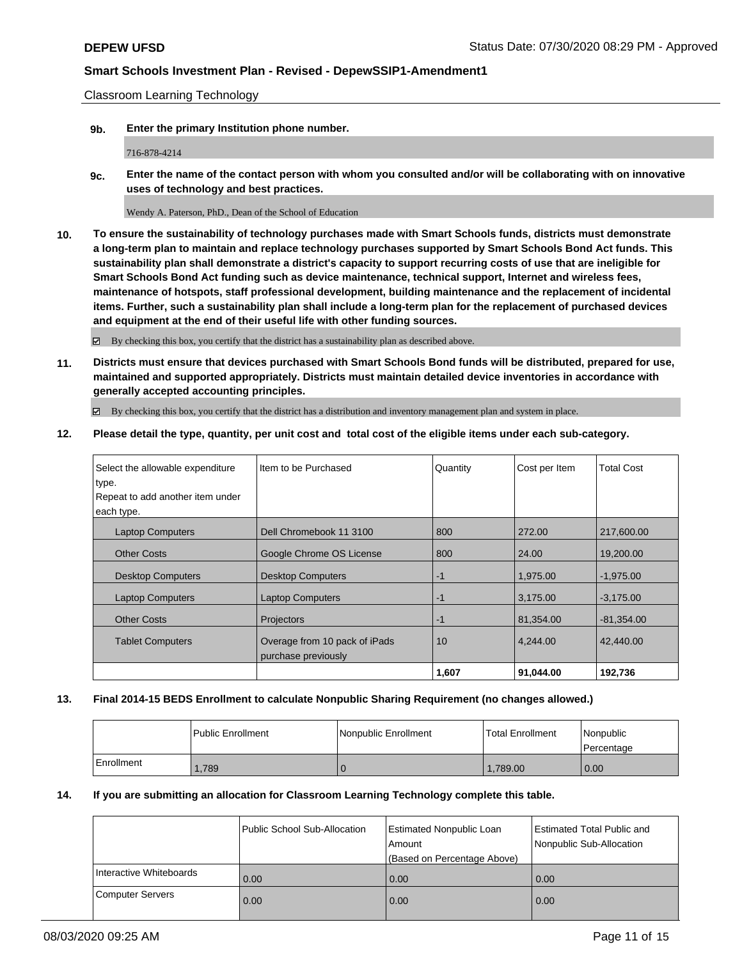Classroom Learning Technology

**9b. Enter the primary Institution phone number.**

716-878-4214

**9c. Enter the name of the contact person with whom you consulted and/or will be collaborating with on innovative uses of technology and best practices.**

Wendy A. Paterson, PhD., Dean of the School of Education

**10. To ensure the sustainability of technology purchases made with Smart Schools funds, districts must demonstrate a long-term plan to maintain and replace technology purchases supported by Smart Schools Bond Act funds. This sustainability plan shall demonstrate a district's capacity to support recurring costs of use that are ineligible for Smart Schools Bond Act funding such as device maintenance, technical support, Internet and wireless fees, maintenance of hotspots, staff professional development, building maintenance and the replacement of incidental items. Further, such a sustainability plan shall include a long-term plan for the replacement of purchased devices and equipment at the end of their useful life with other funding sources.**

By checking this box, you certify that the district has a sustainability plan as described above.

**11. Districts must ensure that devices purchased with Smart Schools Bond funds will be distributed, prepared for use, maintained and supported appropriately. Districts must maintain detailed device inventories in accordance with generally accepted accounting principles.**

By checking this box, you certify that the district has a distribution and inventory management plan and system in place.

**12. Please detail the type, quantity, per unit cost and total cost of the eligible items under each sub-category.**

| Select the allowable expenditure | Item to be Purchased          | Quantity | Cost per Item | <b>Total Cost</b> |
|----------------------------------|-------------------------------|----------|---------------|-------------------|
| type.                            |                               |          |               |                   |
| Repeat to add another item under |                               |          |               |                   |
| each type.                       |                               |          |               |                   |
| <b>Laptop Computers</b>          | Dell Chromebook 11 3100       | 800      | 272.00        | 217,600.00        |
| <b>Other Costs</b>               | Google Chrome OS License      | 800      | 24.00         | 19,200.00         |
| <b>Desktop Computers</b>         | <b>Desktop Computers</b>      | $-1$     | 1.975.00      | $-1,975.00$       |
| <b>Laptop Computers</b>          | <b>Laptop Computers</b>       | $-1$     | 3,175.00      | $-3,175.00$       |
| <b>Other Costs</b>               | Projectors                    | $-1$     | 81,354.00     | $-81,354.00$      |
| <b>Tablet Computers</b>          | Overage from 10 pack of iPads | 10       | 4.244.00      | 42,440,00         |
|                                  | purchase previously           |          |               |                   |
|                                  |                               | 1,607    | 91,044.00     | 192,736           |

## **13. Final 2014-15 BEDS Enrollment to calculate Nonpublic Sharing Requirement (no changes allowed.)**

|            | <b>Public Enrollment</b> | Nonpublic Enrollment | <b>Total Enrollment</b> | Nonpublic<br>l Percentage |
|------------|--------------------------|----------------------|-------------------------|---------------------------|
| Enrollment | .789                     |                      | 1,789.00                | 0.00                      |

## **14. If you are submitting an allocation for Classroom Learning Technology complete this table.**

|                         | Public School Sub-Allocation | Estimated Nonpublic Loan<br>l Amount<br>(Based on Percentage Above) | <b>Estimated Total Public and</b><br>Nonpublic Sub-Allocation |
|-------------------------|------------------------------|---------------------------------------------------------------------|---------------------------------------------------------------|
| Interactive Whiteboards | 0.00                         | 0.00                                                                | 0.00                                                          |
| Computer Servers        | 0.00                         | 0.00                                                                | 0.00                                                          |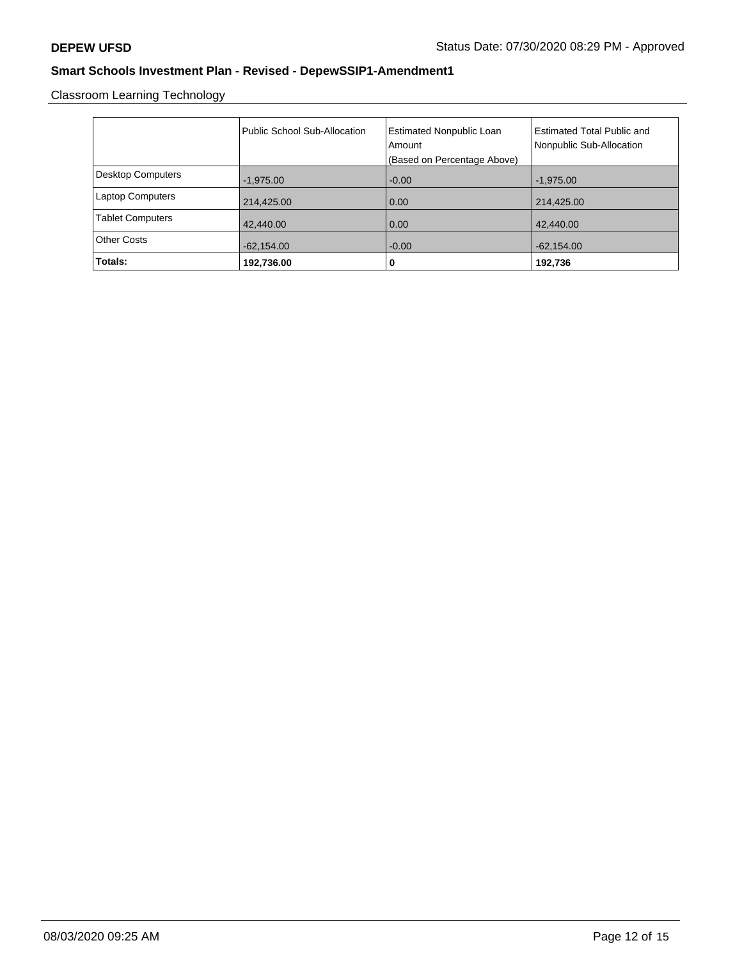Classroom Learning Technology

|                          | Public School Sub-Allocation | <b>Estimated Nonpublic Loan</b><br>Amount<br>(Based on Percentage Above) | <b>Estimated Total Public and</b><br>Nonpublic Sub-Allocation |
|--------------------------|------------------------------|--------------------------------------------------------------------------|---------------------------------------------------------------|
| <b>Desktop Computers</b> | $-1,975.00$                  | $-0.00$                                                                  | $-1,975.00$                                                   |
| <b>Laptop Computers</b>  | 214,425.00                   | 0.00                                                                     | 214,425.00                                                    |
| <b>Tablet Computers</b>  | 42,440.00                    | 0.00                                                                     | 42,440.00                                                     |
| <b>Other Costs</b>       | $-62,154.00$                 | $-0.00$                                                                  | $-62,154.00$                                                  |
| Totals:                  | 192,736.00                   | 0                                                                        | 192,736                                                       |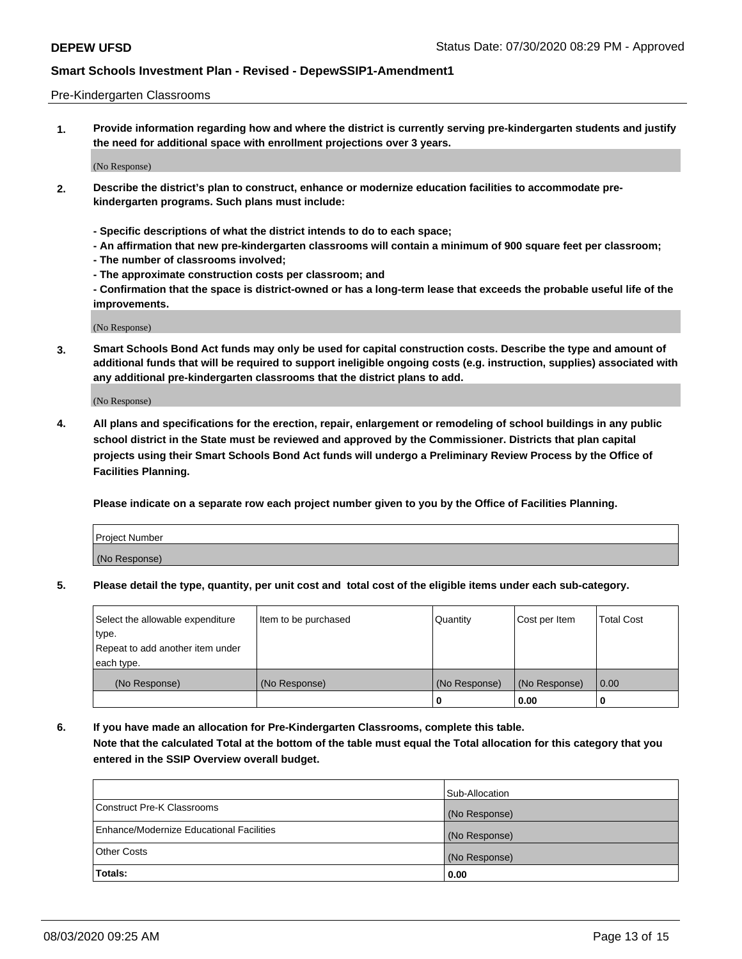### Pre-Kindergarten Classrooms

**1. Provide information regarding how and where the district is currently serving pre-kindergarten students and justify the need for additional space with enrollment projections over 3 years.**

(No Response)

- **2. Describe the district's plan to construct, enhance or modernize education facilities to accommodate prekindergarten programs. Such plans must include:**
	- **Specific descriptions of what the district intends to do to each space;**
	- **An affirmation that new pre-kindergarten classrooms will contain a minimum of 900 square feet per classroom;**
	- **The number of classrooms involved;**
	- **The approximate construction costs per classroom; and**
	- **Confirmation that the space is district-owned or has a long-term lease that exceeds the probable useful life of the improvements.**

(No Response)

**3. Smart Schools Bond Act funds may only be used for capital construction costs. Describe the type and amount of additional funds that will be required to support ineligible ongoing costs (e.g. instruction, supplies) associated with any additional pre-kindergarten classrooms that the district plans to add.**

(No Response)

**4. All plans and specifications for the erection, repair, enlargement or remodeling of school buildings in any public school district in the State must be reviewed and approved by the Commissioner. Districts that plan capital projects using their Smart Schools Bond Act funds will undergo a Preliminary Review Process by the Office of Facilities Planning.**

**Please indicate on a separate row each project number given to you by the Office of Facilities Planning.**

| Project Number |  |
|----------------|--|
| (No Response)  |  |
|                |  |

**5. Please detail the type, quantity, per unit cost and total cost of the eligible items under each sub-category.**

| Select the allowable expenditure | Item to be purchased | Quantity      | Cost per Item | <b>Total Cost</b> |
|----------------------------------|----------------------|---------------|---------------|-------------------|
| type.                            |                      |               |               |                   |
| Repeat to add another item under |                      |               |               |                   |
| each type.                       |                      |               |               |                   |
| (No Response)                    | (No Response)        | (No Response) | (No Response) | 0.00              |
|                                  |                      | υ             | 0.00          |                   |

**6. If you have made an allocation for Pre-Kindergarten Classrooms, complete this table. Note that the calculated Total at the bottom of the table must equal the Total allocation for this category that you entered in the SSIP Overview overall budget.**

|                                          | Sub-Allocation |
|------------------------------------------|----------------|
| Construct Pre-K Classrooms               | (No Response)  |
| Enhance/Modernize Educational Facilities | (No Response)  |
| <b>Other Costs</b>                       | (No Response)  |
| Totals:                                  | 0.00           |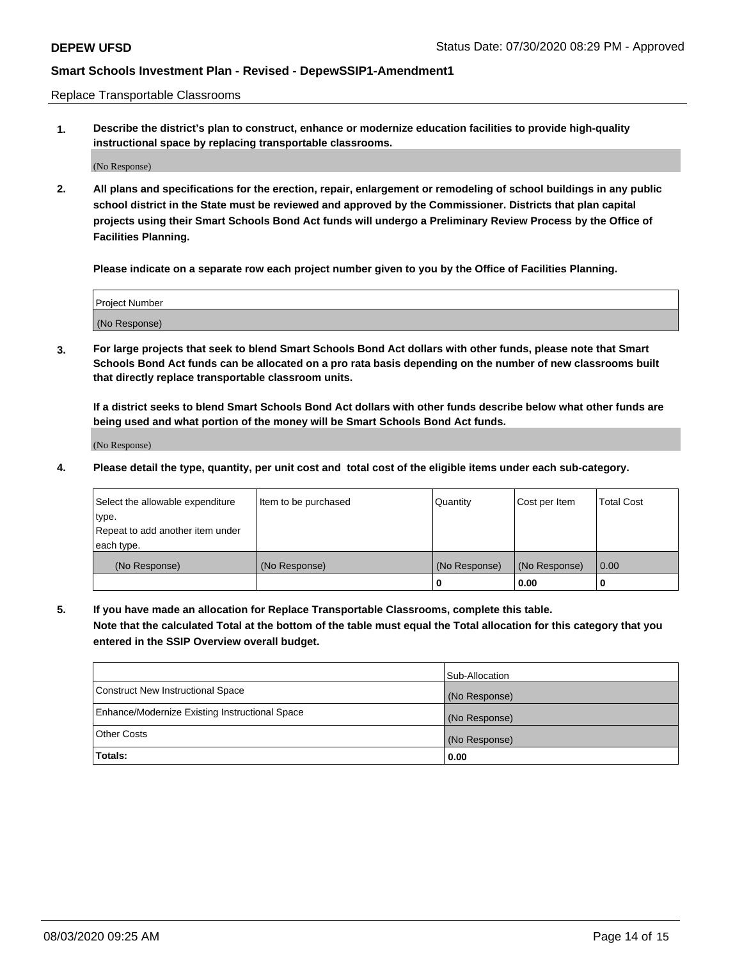Replace Transportable Classrooms

**1. Describe the district's plan to construct, enhance or modernize education facilities to provide high-quality instructional space by replacing transportable classrooms.**

(No Response)

**2. All plans and specifications for the erection, repair, enlargement or remodeling of school buildings in any public school district in the State must be reviewed and approved by the Commissioner. Districts that plan capital projects using their Smart Schools Bond Act funds will undergo a Preliminary Review Process by the Office of Facilities Planning.**

**Please indicate on a separate row each project number given to you by the Office of Facilities Planning.**

| Project Number |  |
|----------------|--|
|                |  |
|                |  |
|                |  |
| (No Response)  |  |
|                |  |
|                |  |

**3. For large projects that seek to blend Smart Schools Bond Act dollars with other funds, please note that Smart Schools Bond Act funds can be allocated on a pro rata basis depending on the number of new classrooms built that directly replace transportable classroom units.**

**If a district seeks to blend Smart Schools Bond Act dollars with other funds describe below what other funds are being used and what portion of the money will be Smart Schools Bond Act funds.**

(No Response)

**4. Please detail the type, quantity, per unit cost and total cost of the eligible items under each sub-category.**

| Select the allowable expenditure | Item to be purchased | Quantity      | Cost per Item | Total Cost |
|----------------------------------|----------------------|---------------|---------------|------------|
| ∣type.                           |                      |               |               |            |
| Repeat to add another item under |                      |               |               |            |
| each type.                       |                      |               |               |            |
| (No Response)                    | (No Response)        | (No Response) | (No Response) | 0.00       |
|                                  |                      | u             | 0.00          |            |

**5. If you have made an allocation for Replace Transportable Classrooms, complete this table. Note that the calculated Total at the bottom of the table must equal the Total allocation for this category that you entered in the SSIP Overview overall budget.**

|                                                | Sub-Allocation |
|------------------------------------------------|----------------|
| Construct New Instructional Space              | (No Response)  |
| Enhance/Modernize Existing Instructional Space | (No Response)  |
| Other Costs                                    | (No Response)  |
| Totals:                                        | 0.00           |